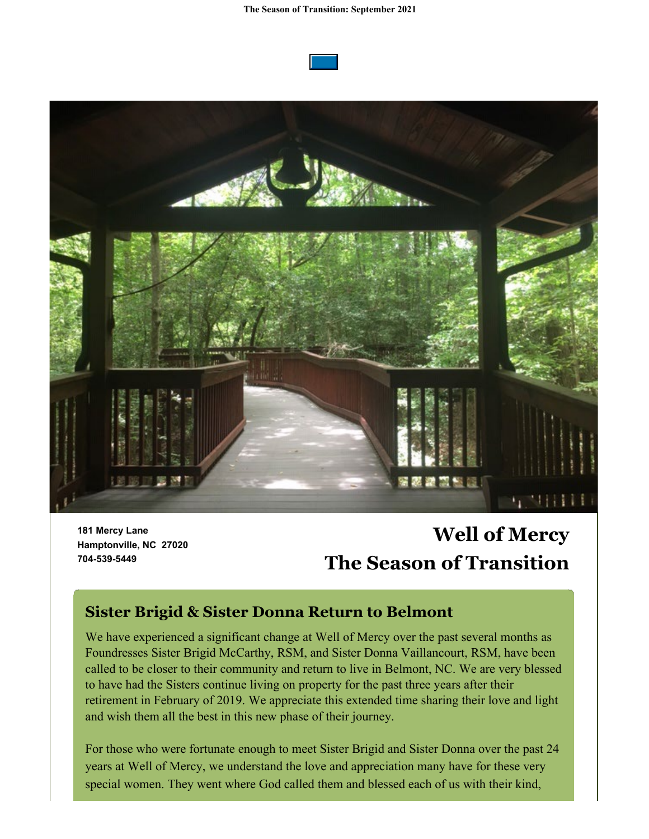



**181 Mercy Lane Hamptonville, NC 27020 704-539-5449**

# **Well of Mercy The Season of Transition**

### **Sister Brigid & Sister Donna Return to Belmont**

We have experienced a significant change at Well of Mercy over the past several months as Foundresses Sister Brigid McCarthy, RSM, and Sister Donna Vaillancourt, RSM, have been called to be closer to their community and return to live in Belmont, NC. We are very blessed to have had the Sisters continue living on property for the past three years after their retirement in February of 2019. We appreciate this extended time sharing their love and light and wish them all the best in this new phase of their journey.

For those who were fortunate enough to meet Sister Brigid and Sister Donna over the past 24 years at Well of Mercy, we understand the love and appreciation many have for these very special women. They went where God called them and blessed each of us with their kind,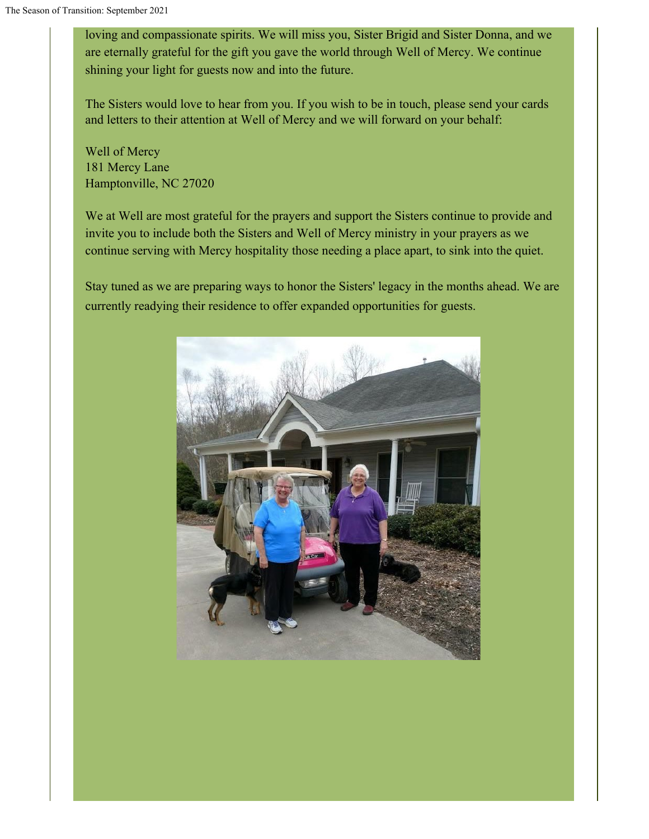loving and compassionate spirits. We will miss you, Sister Brigid and Sister Donna, and we are eternally grateful for the gift you gave the world through Well of Mercy. We continue shining your light for guests now and into the future.

The Sisters would love to hear from you. If you wish to be in touch, please send your cards and letters to their attention at Well of Mercy and we will forward on your behalf:

Well of Mercy 181 Mercy Lane Hamptonville, NC 27020

We at Well are most grateful for the prayers and support the Sisters continue to provide and invite you to include both the Sisters and Well of Mercy ministry in your prayers as we continue serving with Mercy hospitality those needing a place apart, to sink into the quiet.

Stay tuned as we are preparing ways to honor the Sisters' legacy in the months ahead. We are currently readying their residence to offer expanded opportunities for guests.

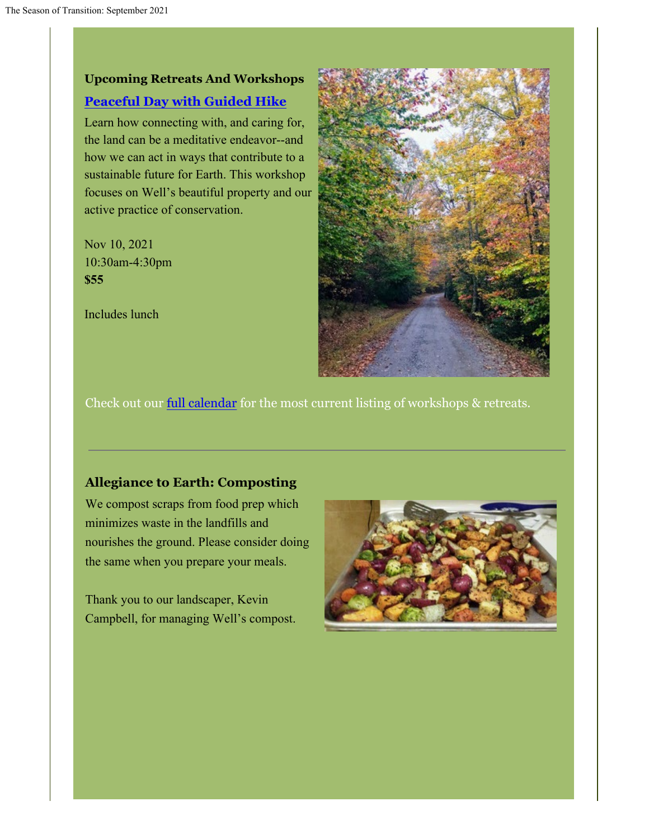## **Upcoming Retreats And Workshops [Peaceful Day with Guided Hike](https://wellofmercy.networkforgood.com/events/34632-peaceful-day-with-guided-hike-at-well-of-mercy)**

Learn how connecting with, and caring for, the land can be a meditative endeavor--and how we can act in ways that contribute to a sustainable future for Earth. This workshop focuses on Well's beautiful property and our active practice of conservation.

Nov 10, 2021 10:30am-4:30pm **\$55**

Includes lunch



Check out our full calendar for the most current listing of workshops & retreats.

#### **Allegiance to Earth: Composting**

We compost scraps from food prep which minimizes waste in the landfills and nourishes the ground. Please consider doing the same when you prepare your meals.

Thank you to our landscaper, Kevin Campbell, for managing Well's compost.